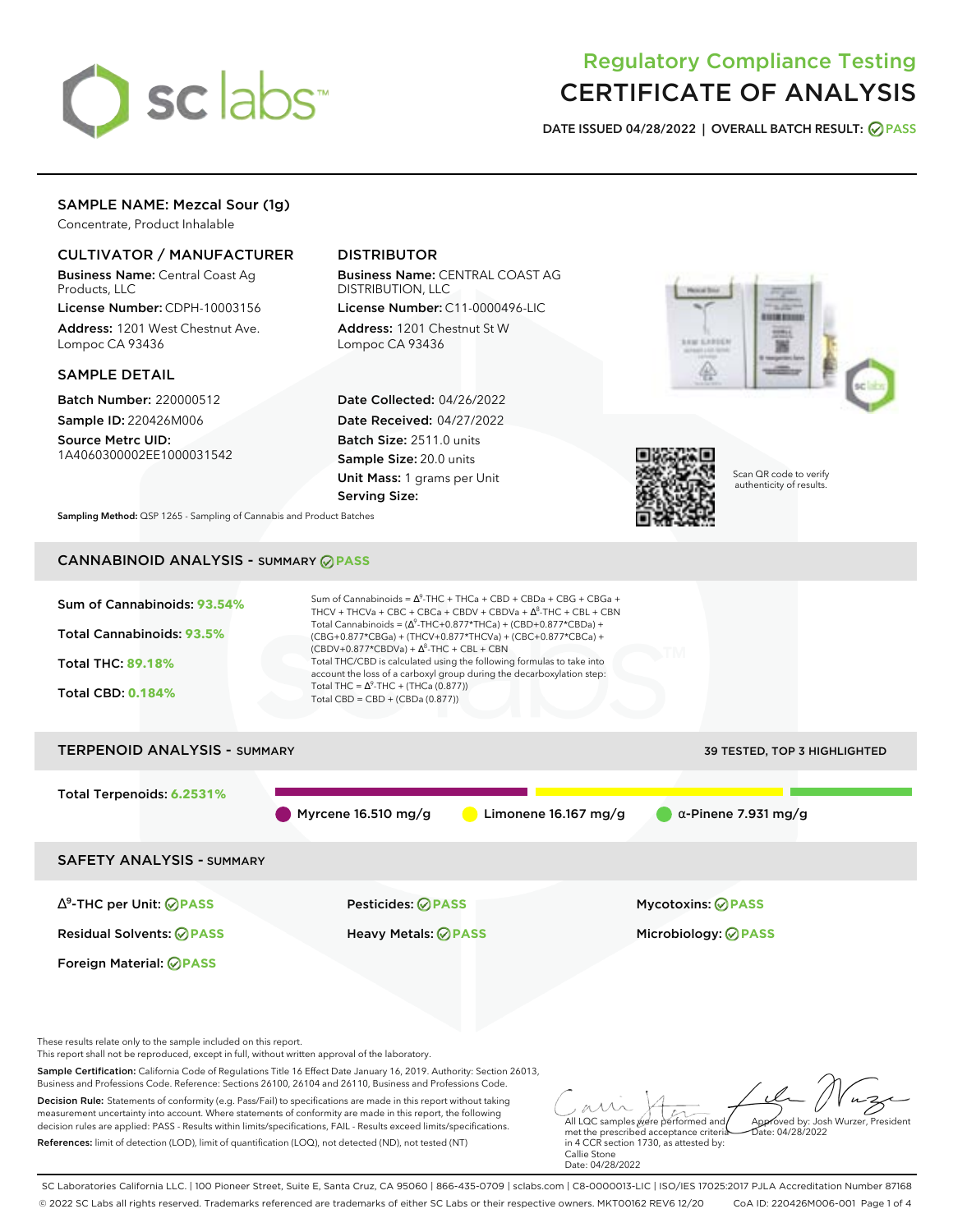

# Regulatory Compliance Testing CERTIFICATE OF ANALYSIS

**DATE ISSUED 04/28/2022 | OVERALL BATCH RESULT: PASS**

# SAMPLE NAME: Mezcal Sour (1g)

Concentrate, Product Inhalable

# CULTIVATOR / MANUFACTURER

Business Name: Central Coast Ag Products, LLC

License Number: CDPH-10003156 Address: 1201 West Chestnut Ave. Lompoc CA 93436

### SAMPLE DETAIL

Batch Number: 220000512 Sample ID: 220426M006

Source Metrc UID: 1A4060300002EE1000031542

# DISTRIBUTOR

Business Name: CENTRAL COAST AG DISTRIBUTION, LLC License Number: C11-0000496-LIC

Address: 1201 Chestnut St W Lompoc CA 93436

Date Collected: 04/26/2022 Date Received: 04/27/2022 Batch Size: 2511.0 units Sample Size: 20.0 units Unit Mass: 1 grams per Unit Serving Size:





Scan QR code to verify authenticity of results.

**Sampling Method:** QSP 1265 - Sampling of Cannabis and Product Batches

# CANNABINOID ANALYSIS - SUMMARY **PASS**

| Sum of Cannabinoids: 93.54%                                                                                                                                                                                                        | Sum of Cannabinoids = $\Delta^9$ -THC + THCa + CBD + CBDa + CBG + CBGa +<br>THCV + THCVa + CBC + CBCa + CBDV + CBDVa + $\Delta^8$ -THC + CBL + CBN<br>Total Cannabinoids = $(\Delta^9$ -THC+0.877*THCa) + (CBD+0.877*CBDa) + |                              |
|------------------------------------------------------------------------------------------------------------------------------------------------------------------------------------------------------------------------------------|------------------------------------------------------------------------------------------------------------------------------------------------------------------------------------------------------------------------------|------------------------------|
| <b>Total Cannabinoids: 93.5%</b>                                                                                                                                                                                                   | (CBG+0.877*CBGa) + (THCV+0.877*THCVa) + (CBC+0.877*CBCa) +<br>$(CBDV+0.877*CBDVa) + \Delta^8$ -THC + CBL + CBN                                                                                                               |                              |
| <b>Total THC: 89.18%</b>                                                                                                                                                                                                           | Total THC/CBD is calculated using the following formulas to take into<br>account the loss of a carboxyl group during the decarboxylation step:                                                                               |                              |
| <b>Total CBD: 0.184%</b>                                                                                                                                                                                                           | Total THC = $\Delta^9$ -THC + (THCa (0.877))<br>Total $CBD = CBD + (CBDa (0.877))$                                                                                                                                           |                              |
| <b>TERPENOID ANALYSIS - SUMMARY</b>                                                                                                                                                                                                |                                                                                                                                                                                                                              | 39 TESTED, TOP 3 HIGHLIGHTED |
| Total Terpenoids: 6.2531%                                                                                                                                                                                                          |                                                                                                                                                                                                                              |                              |
|                                                                                                                                                                                                                                    | Myrcene $16.510$ mg/g<br>Limonene $16.167$ mg/g                                                                                                                                                                              | $\alpha$ -Pinene 7.931 mg/g  |
| <b>SAFETY ANALYSIS - SUMMARY</b>                                                                                                                                                                                                   |                                                                                                                                                                                                                              |                              |
| ∆ <sup>9</sup> -THC per Unit: <b>⊘ PASS</b>                                                                                                                                                                                        | Pesticides: <b>⊘PASS</b>                                                                                                                                                                                                     | Mycotoxins: ◎ PASS           |
| <b>Residual Solvents: ⊘PASS</b>                                                                                                                                                                                                    | <b>Heavy Metals: ⊘ PASS</b>                                                                                                                                                                                                  | Microbiology: <b>⊘PASS</b>   |
| Foreign Material: <b>⊘ PASS</b>                                                                                                                                                                                                    |                                                                                                                                                                                                                              |                              |
|                                                                                                                                                                                                                                    |                                                                                                                                                                                                                              |                              |
| These results relate only to the sample included on this report.<br>This report shall not be reproduced, except in full, without written approval of the laboratory.                                                               |                                                                                                                                                                                                                              |                              |
| Sample Certification: California Code of Regulations Title 16 Effect Date January 16, 2019. Authority: Section 26013,<br>Business and Professions Code. Reference: Sections 26100, 26104 and 26110, Business and Professions Code. |                                                                                                                                                                                                                              |                              |

Decision Rule: Statements of conformity (e.g. Pass/Fail) to specifications are made in this report without taking measurement uncertainty into account. Where statements of conformity are made in this report, the following decision rules are applied: PASS - Results within limits/specifications, FAIL - Results exceed limits/specifications. References: limit of detection (LOD), limit of quantification (LOQ), not detected (ND), not tested (NT)

 $\sqrt{2}$  $\sqrt{2}$ ass All LQC samples were performed and Approved by: Josh Wurzer, President met the prescribed acceptance criteria Date: 04/28/2022

in 4 CCR section 1730, as attested by: Callie Stone Date: 04/28/2022

SC Laboratories California LLC. | 100 Pioneer Street, Suite E, Santa Cruz, CA 95060 | 866-435-0709 | sclabs.com | C8-0000013-LIC | ISO/IES 17025:2017 PJLA Accreditation Number 87168 © 2022 SC Labs all rights reserved. Trademarks referenced are trademarks of either SC Labs or their respective owners. MKT00162 REV6 12/20 CoA ID: 220426M006-001 Page 1 of 4